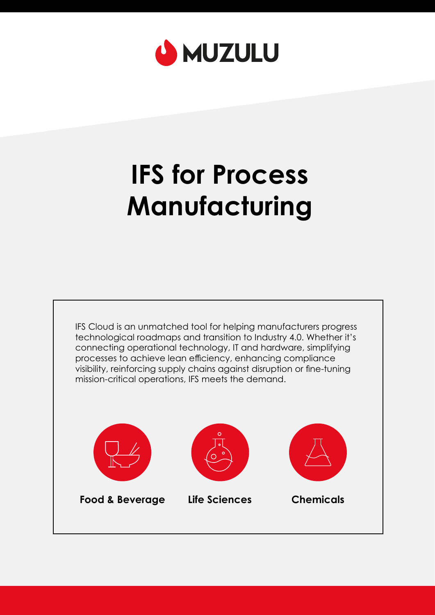

# **IFS for Process Manufacturing**

IFS Cloud is an unmatched tool for helping manufacturers progress technological roadmaps and transition to Industry 4.0. Whether it's connecting operational technology, IT and hardware, simplifying processes to achieve lean efficiency, enhancing compliance visibility, reinforcing supply chains against disruption or fine-tuning mission-critical operations, IFS meets the demand.

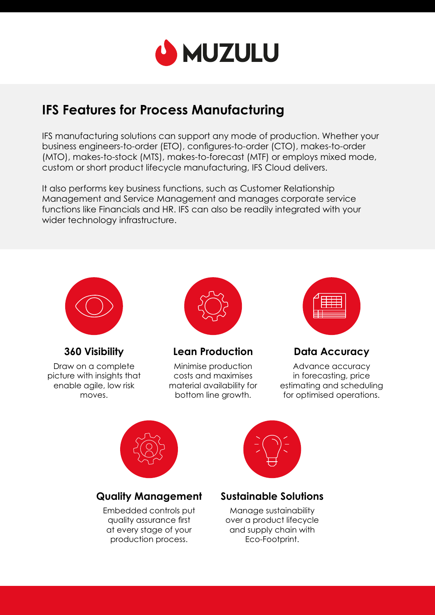

## **IFS Features for Process Manufacturing**

IFS manufacturing solutions can support any mode of production. Whether your business engineers-to-order (ETO), configures-to-order (CTO), makes-to-order (MTO), makes-to-stock (MTS), makes-to-forecast (MTF) or employs mixed mode, custom or short product lifecycle manufacturing, IFS Cloud delivers.

It also performs key business functions, such as Customer Relationship Management and Service Management and manages corporate service functions like Financials and HR. IFS can also be readily integrated with your wider technology infrastructure.



**360 Visibility** 

Draw on a complete picture with insights that enable agile, low risk moves.



#### **Lean Production**

Minimise production costs and maximises material availability for bottom line growth.



**Data Accuracy** 

Advance accuracy in forecasting, price estimating and scheduling for optimised operations.



#### **Quality Management**

Embedded controls put quality assurance first at every stage of your production process.



#### **Sustainable Solutions**

Manage sustainability over a product lifecycle and supply chain with Eco-Footprint.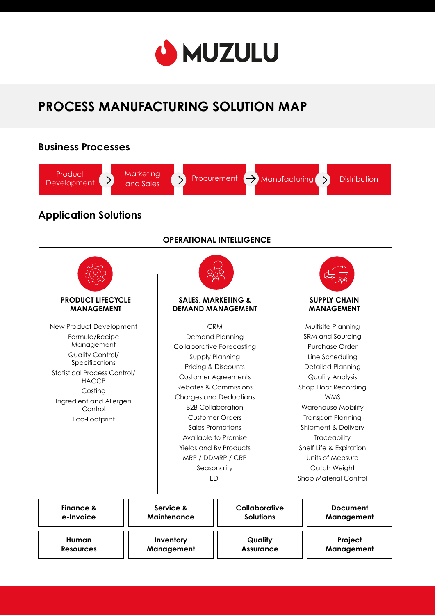

# **PROCESS MANUFACTURING SOLUTION MAP**